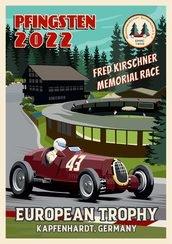